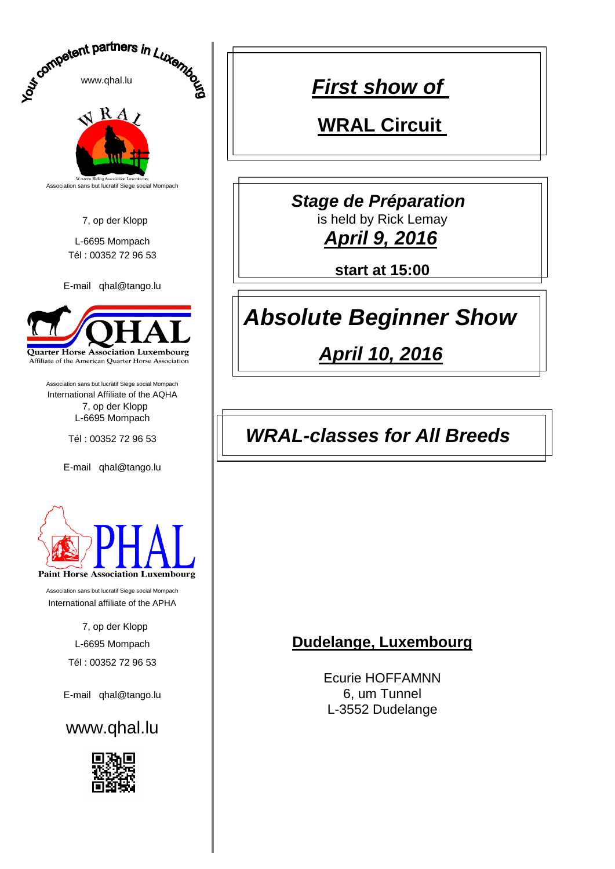

*First show of* 

**WRAL Circuit** 

*Stage de Préparation* 

**start at 15:00**

# *Absolute Beginner Show*

*April 10, 2016*

### Tél : 00352 72 96 53 *WRAL-classes for All Breeds*

Ecurie HOFFAMNN L-3552 Dudelange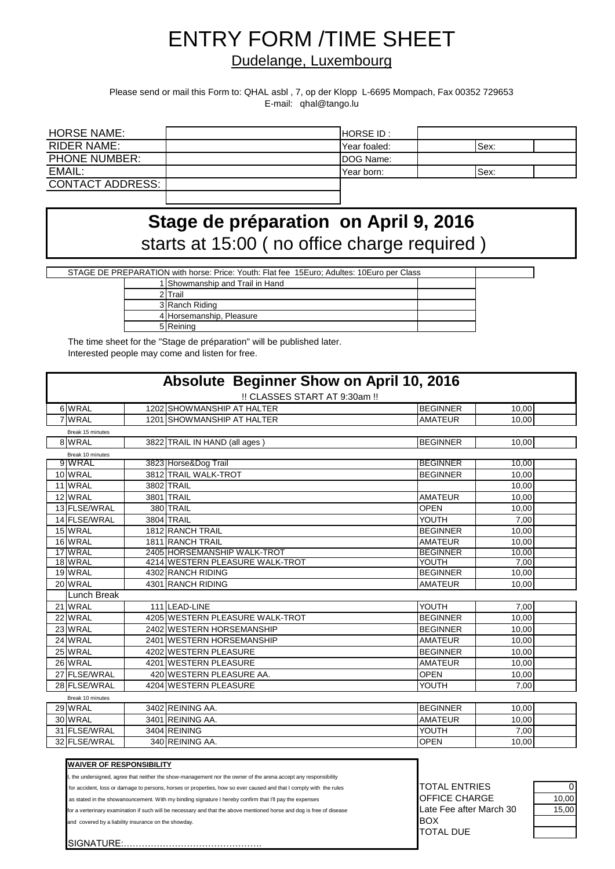# ENTRY FORM /TIME SHEET

#### Dudelange, Luxembourg

Please send or mail this Form to: QHAL asbl , 7, op der Klopp L-6695 Mompach, Fax 00352 729653 E-mail: qhal@tango.lu

| <b>HORSE NAME:</b>      | <b>HORSE ID:</b> |      |  |
|-------------------------|------------------|------|--|
| RIDER NAME:             | Year foaled:     | Sex: |  |
| <b>PHONE NUMBER:</b>    | DOG Name:        |      |  |
| EMAIL:                  | Year born:       | Sex: |  |
| <b>CONTACT ADDRESS:</b> |                  |      |  |
|                         |                  |      |  |

## starts at 15:00 ( no office charge required ) **Stage de préparation on April 9, 2016**

STAGE DE PREPARATION with horse: Price: Youth: Flat fee 15Euro; Adultes: 10Euro per Class

| 1 Showmanship and Trail in Hand |  |
|---------------------------------|--|
| 2 I Trail                       |  |
| 3 Ranch Riding                  |  |
| 4 Horsemanship, Pleasure        |  |
| 5 Reining                       |  |

The time sheet for the "Stage de préparation" will be published later. Interested people may come and listen for free.

|                                                                                                                                                                                                                               |              | !! CLASSES START AT 9:30am !!                                                                                |                      |       |
|-------------------------------------------------------------------------------------------------------------------------------------------------------------------------------------------------------------------------------|--------------|--------------------------------------------------------------------------------------------------------------|----------------------|-------|
| 6 WRAL                                                                                                                                                                                                                        |              | 1202 SHOWMANSHIP AT HALTER                                                                                   | <b>BEGINNER</b>      | 10,00 |
| 7 WRAL                                                                                                                                                                                                                        |              | 1201 SHOWMANSHIP AT HALTER                                                                                   | <b>AMATEUR</b>       | 10.00 |
| Break 15 minutes                                                                                                                                                                                                              |              |                                                                                                              |                      |       |
| 8 WRAL                                                                                                                                                                                                                        |              | 3822 TRAIL IN HAND (all ages)                                                                                | <b>BEGINNER</b>      | 10,00 |
| Break 10 minutes                                                                                                                                                                                                              |              |                                                                                                              |                      |       |
| 9 WRAL                                                                                                                                                                                                                        |              | 3823 Horse&Dog Trail                                                                                         | <b>BEGINNER</b>      | 10,00 |
| 10 WRAL                                                                                                                                                                                                                       |              | 3812 TRAIL WALK-TROT                                                                                         | <b>BEGINNER</b>      | 10,00 |
| 11 WRAL                                                                                                                                                                                                                       | 3802 TRAIL   |                                                                                                              |                      | 10,00 |
| 12 WRAL                                                                                                                                                                                                                       | 3801 TRAIL   |                                                                                                              | <b>AMATEUR</b>       | 10,00 |
| 13 FLSE/WRAL                                                                                                                                                                                                                  | 380 TRAIL    |                                                                                                              | <b>OPEN</b>          | 10,00 |
| 14 FLSE/WRAL                                                                                                                                                                                                                  | 3804 TRAIL   |                                                                                                              | YOUTH                | 7,00  |
| 15 WRAL                                                                                                                                                                                                                       |              | 1812 RANCH TRAIL                                                                                             | <b>BEGINNER</b>      | 10.00 |
| 16 WRAL                                                                                                                                                                                                                       |              | 1811 RANCH TRAIL                                                                                             | <b>AMATEUR</b>       | 10.00 |
| 17 WRAL                                                                                                                                                                                                                       |              | 2405 HORSEMANSHIP WALK-TROT                                                                                  | <b>BEGINNER</b>      | 10,00 |
| 18 WRAL                                                                                                                                                                                                                       |              | 4214 WESTERN PLEASURE WALK-TROT                                                                              | YOUTH                | 7,00  |
| 19 WRAL                                                                                                                                                                                                                       |              | 4302 RANCH RIDING                                                                                            | <b>BEGINNER</b>      | 10,00 |
| 20 WRAL                                                                                                                                                                                                                       |              | 4301 RANCH RIDING                                                                                            | <b>AMATEUR</b>       | 10.00 |
| <b>Lunch Break</b>                                                                                                                                                                                                            |              |                                                                                                              |                      |       |
| 21 WRAL                                                                                                                                                                                                                       |              | 111 LEAD-LINE                                                                                                | YOUTH                | 7.00  |
| 22 WRAL                                                                                                                                                                                                                       |              | 4205 WESTERN PLEASURE WALK-TROT                                                                              | <b>BEGINNER</b>      | 10,00 |
| 23 WRAL                                                                                                                                                                                                                       |              | 2402 WESTERN HORSEMANSHIP                                                                                    | <b>BEGINNER</b>      | 10.00 |
| 24 WRAL                                                                                                                                                                                                                       |              | 2401 WESTERN HORSEMANSHIP                                                                                    | <b>AMATEUR</b>       | 10.00 |
| 25 WRAL                                                                                                                                                                                                                       |              | 4202 WESTERN PLEASURE                                                                                        | <b>BEGINNER</b>      | 10,00 |
| 26 WRAL                                                                                                                                                                                                                       |              | 4201 WESTERN PLEASURE                                                                                        | <b>AMATEUR</b>       | 10,00 |
| 27 FLSE/WRAL                                                                                                                                                                                                                  |              | 420 WESTERN PLEASURE AA.                                                                                     | <b>OPEN</b>          | 10,00 |
| 28 FLSE/WRAL                                                                                                                                                                                                                  |              | 4204 WESTERN PLEASURE                                                                                        | YOUTH                | 7.00  |
| Break 10 minutes                                                                                                                                                                                                              |              |                                                                                                              |                      |       |
| 29 WRAL                                                                                                                                                                                                                       |              | 3402 REINING AA.                                                                                             | <b>BEGINNER</b>      | 10,00 |
| 30 WRAL                                                                                                                                                                                                                       |              | 3401 REINING AA.                                                                                             | <b>AMATEUR</b>       | 10,00 |
| 31 FLSE/WRAL                                                                                                                                                                                                                  | 3404 REINING |                                                                                                              | YOUTH                | 7.00  |
| 32 FLSE/WRAL                                                                                                                                                                                                                  |              | 340 REINING AA.                                                                                              | <b>OPEN</b>          | 10.00 |
|                                                                                                                                                                                                                               |              |                                                                                                              |                      |       |
| <b>WAIVER OF RESPONSIBILITY</b>                                                                                                                                                                                               |              |                                                                                                              |                      |       |
|                                                                                                                                                                                                                               |              | the undersigned, agree that neither the show-management nor the owner of the arena accept any responsibility |                      |       |
|                                                                                                                                                                                                                               |              |                                                                                                              | <b>TOTAL ENTRIES</b> |       |
| for accident, loss or damage to persons, horses or properties, how so ever caused and that I comply with the rules<br>as stated in the showanouncement. With my binding signature I hereby confirm that I'll pay the expenses |              |                                                                                                              |                      |       |

and covered by a liability insurance on the showday.  $\overline{BOX}$ 

SIGNATURE:

or a verterinary examination if such will be necessary and that the above mentioned horse and dog is free of disease Late Fee after March 30 15,00 TOTAL DUE